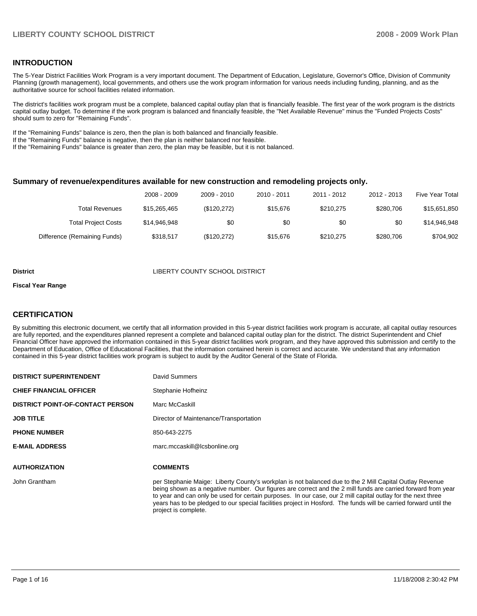## **INTRODUCTION**

The 5-Year District Facilities Work Program is a very important document. The Department of Education, Legislature, Governor's Office, Division of Community Planning (growth management), local governments, and others use the work program information for various needs including funding, planning, and as the authoritative source for school facilities related information.

The district's facilities work program must be a complete, balanced capital outlay plan that is financially feasible. The first year of the work program is the districts capital outlay budget. To determine if the work program is balanced and financially feasible, the "Net Available Revenue" minus the "Funded Projects Costs" should sum to zero for "Remaining Funds".

If the "Remaining Funds" balance is zero, then the plan is both balanced and financially feasible.

If the "Remaining Funds" balance is negative, then the plan is neither balanced nor feasible.

If the "Remaining Funds" balance is greater than zero, the plan may be feasible, but it is not balanced.

## **Summary of revenue/expenditures available for new construction and remodeling projects only.**

| <b>Five Year Total</b> | 2012 - 2013 | 2011 - 2012 | 2010 - 2011 | 2009 - 2010 | 2008 - 2009  |                              |
|------------------------|-------------|-------------|-------------|-------------|--------------|------------------------------|
| \$15,651,850           | \$280.706   | \$210.275   | \$15,676    | (\$120,272) | \$15,265,465 | Total Revenues               |
| \$14.946.948           | \$0         | \$0         | \$0         | \$0         | \$14,946,948 | <b>Total Project Costs</b>   |
| \$704.902              | \$280,706   | \$210.275   | \$15,676    | (\$120,272) | \$318.517    | Difference (Remaining Funds) |

#### **District COUNTY SCHOOL DISTRICT**

#### **Fiscal Year Range**

## **CERTIFICATION**

By submitting this electronic document, we certify that all information provided in this 5-year district facilities work program is accurate, all capital outlay resources are fully reported, and the expenditures planned represent a complete and balanced capital outlay plan for the district. The district Superintendent and Chief Financial Officer have approved the information contained in this 5-year district facilities work program, and they have approved this submission and certify to the Department of Education, Office of Educational Facilities, that the information contained herein is correct and accurate. We understand that any information contained in this 5-year district facilities work program is subject to audit by the Auditor General of the State of Florida.

| <b>DISTRICT SUPERINTENDENT</b>          | David Summers                                                                                                                                                                                                                                                                                                                                                                                                                                                                        |
|-----------------------------------------|--------------------------------------------------------------------------------------------------------------------------------------------------------------------------------------------------------------------------------------------------------------------------------------------------------------------------------------------------------------------------------------------------------------------------------------------------------------------------------------|
| <b>CHIEF FINANCIAL OFFICER</b>          | Stephanie Hofheinz                                                                                                                                                                                                                                                                                                                                                                                                                                                                   |
| <b>DISTRICT POINT-OF-CONTACT PERSON</b> | Marc McCaskill                                                                                                                                                                                                                                                                                                                                                                                                                                                                       |
| <b>JOB TITLE</b>                        | Director of Maintenance/Transportation                                                                                                                                                                                                                                                                                                                                                                                                                                               |
| <b>PHONE NUMBER</b>                     | 850-643-2275                                                                                                                                                                                                                                                                                                                                                                                                                                                                         |
| <b>E-MAIL ADDRESS</b>                   | marc.mccaskill@lcsbonline.org                                                                                                                                                                                                                                                                                                                                                                                                                                                        |
| <b>AUTHORIZATION</b>                    | <b>COMMENTS</b>                                                                                                                                                                                                                                                                                                                                                                                                                                                                      |
| John Grantham                           | per Stephanie Maige: Liberty County's workplan is not balanced due to the 2 Mill Capital Outlay Revenue<br>being shown as a negative number. Our figures are correct and the 2 mill funds are carried forward from year<br>to year and can only be used for certain purposes. In our case, our 2 mill capital outlay for the next three<br>years has to be pledged to our special facilities project in Hosford. The funds will be carried forward until the<br>project is complete. |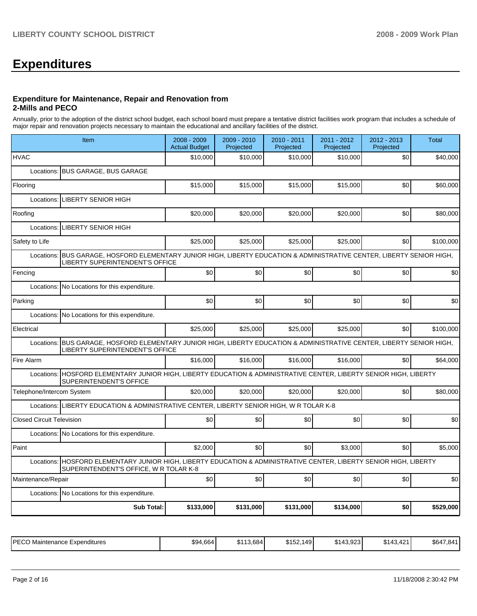# **Expenditures**

### **Expenditure for Maintenance, Repair and Renovation from 2-Mills and PECO**

Annually, prior to the adoption of the district school budget, each school board must prepare a tentative district facilities work program that includes a schedule of major repair and renovation projects necessary to maintain the educational and ancillary facilities of the district.

| Item                                                                                                                                                            | 2008 - 2009<br><b>Actual Budget</b> | 2009 - 2010<br>Projected | 2010 - 2011<br>Projected | 2011 - 2012<br>Projected | 2012 - 2013<br>Projected | <b>Total</b> |
|-----------------------------------------------------------------------------------------------------------------------------------------------------------------|-------------------------------------|--------------------------|--------------------------|--------------------------|--------------------------|--------------|
| <b>HVAC</b>                                                                                                                                                     | \$10,000                            | \$10,000                 | \$10,000                 | \$10,000                 | \$0                      | \$40,000     |
| Locations: BUS GARAGE, BUS GARAGE                                                                                                                               |                                     |                          |                          |                          |                          |              |
| Flooring                                                                                                                                                        | \$15,000                            | \$15,000                 | \$15,000                 | \$15,000                 | \$0                      | \$60,000     |
| Locations: LIBERTY SENIOR HIGH                                                                                                                                  |                                     |                          |                          |                          |                          |              |
| Roofing                                                                                                                                                         | \$20.000                            | \$20,000                 | \$20,000                 | \$20,000                 | \$0                      | \$80,000     |
| <b>LIBERTY SENIOR HIGH</b><br>Locations:                                                                                                                        |                                     |                          |                          |                          |                          |              |
| Safety to Life                                                                                                                                                  | \$25,000                            | \$25,000                 | \$25,000                 | \$25,000                 | \$0                      | \$100.000    |
| BUS GARAGE, HOSFORD ELEMENTARY JUNIOR HIGH, LIBERTY EDUCATION & ADMINISTRATIVE CENTER, LIBERTY SENIOR HIGH,<br>Locations:<br>LIBERTY SUPERINTENDENT'S OFFICE    |                                     |                          |                          |                          |                          |              |
| Fencing                                                                                                                                                         | \$0                                 | \$0                      | \$0                      | \$0                      | \$0                      | \$0          |
| Locations: No Locations for this expenditure.                                                                                                                   |                                     |                          |                          |                          |                          |              |
| Parking                                                                                                                                                         | \$0                                 | \$0                      | \$0                      | \$0                      | \$0                      | \$0          |
| Locations: No Locations for this expenditure.                                                                                                                   |                                     |                          |                          |                          |                          |              |
| Electrical                                                                                                                                                      | \$25,000                            | \$25,000                 | \$25,000                 | \$25,000                 | \$0                      | \$100,000    |
| BUS GARAGE, HOSFORD ELEMENTARY JUNIOR HIGH, LIBERTY EDUCATION & ADMINISTRATIVE CENTER, LIBERTY SENIOR HIGH,<br>Locations:<br>LIBERTY SUPERINTENDENT'S OFFICE    |                                     |                          |                          |                          |                          |              |
| Fire Alarm                                                                                                                                                      | \$16,000                            | \$16,000                 | \$16,000                 | \$16,000                 | \$0                      | \$64,000     |
| HOSFORD ELEMENTARY JUNIOR HIGH, LIBERTY EDUCATION & ADMINISTRATIVE CENTER, LIBERTY SENIOR HIGH, LIBERTY<br>Locations:<br>SUPERINTENDENT'S OFFICE                |                                     |                          |                          |                          |                          |              |
| Telephone/Intercom System                                                                                                                                       | \$20,000                            | \$20.000                 | \$20,000                 | \$20,000                 | \$0                      | \$80,000     |
| Locations: LIBERTY EDUCATION & ADMINISTRATIVE CENTER, LIBERTY SENIOR HIGH, W R TOLAR K-8                                                                        |                                     |                          |                          |                          |                          |              |
| <b>Closed Circuit Television</b>                                                                                                                                | \$0                                 | \$0                      | \$0                      | \$0                      | \$0                      | \$0          |
| Locations: No Locations for this expenditure.                                                                                                                   |                                     |                          |                          |                          |                          |              |
| Paint                                                                                                                                                           | \$2,000                             | \$0                      | \$0                      | \$3,000                  | \$0                      | \$5,000      |
| HOSFORD ELEMENTARY JUNIOR HIGH, LIBERTY EDUCATION & ADMINISTRATIVE CENTER, LIBERTY SENIOR HIGH, LIBERTY<br>Locations:<br>SUPERINTENDENT'S OFFICE, W R TOLAR K-8 |                                     |                          |                          |                          |                          |              |
| Maintenance/Repair                                                                                                                                              | \$0                                 | \$0                      | \$0                      | \$0                      | \$0                      | \$0          |
| Locations: No Locations for this expenditure.                                                                                                                   |                                     |                          |                          |                          |                          |              |
| <b>Sub Total:</b>                                                                                                                                               | \$133,000                           | \$131,000                | \$131,000                | \$134,000                | \$0                      | \$529,000    |

|  | I PECO<br>Maintenance<br><b>Expenditures</b><br>└─ | 4.664<br>\$94 | $, 3.684$ <sup>1</sup><br>1 1 0 | <b>AIPA</b><br>149<br>. ນ⊺ວ∠. | $\sim$ $\sim$<br>$\sim$<br>.<br>∸14امت<br>40.920 | .421<br>$\ddot{\phantom{1}}$<br>ა143 | \$647<br>--<br>.84 |
|--|----------------------------------------------------|---------------|---------------------------------|-------------------------------|--------------------------------------------------|--------------------------------------|--------------------|
|--|----------------------------------------------------|---------------|---------------------------------|-------------------------------|--------------------------------------------------|--------------------------------------|--------------------|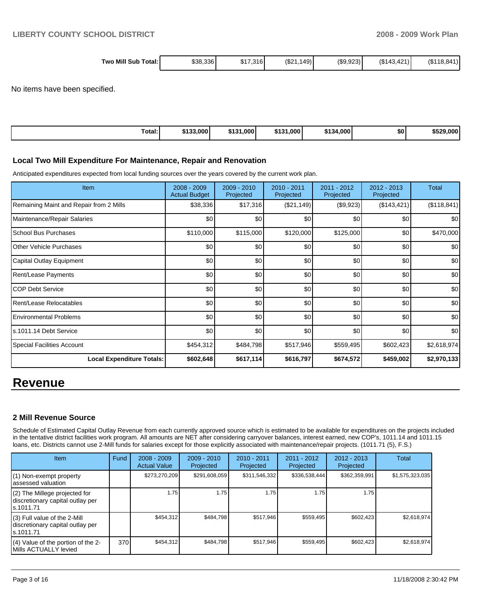| Two Mill Sub | 149)   | (S9.923)    | (S118.841) |
|--------------|--------|-------------|------------|
| \$38.336     | (0.01) | (\$143.421) |            |
| \$17         | .316 I | $\sqrt{2}$  |            |
| Total:       | ےد⊳    |             |            |

No items have been specified.

| Гоtal: | \$133,000 | .000 <sub>1</sub><br>せんつん<br>. . | .000<br>\$13' | 4.000<br><b>CA9</b> | \$0 | 29.000<br>\$529 |
|--------|-----------|----------------------------------|---------------|---------------------|-----|-----------------|

## **Local Two Mill Expenditure For Maintenance, Repair and Renovation**

Anticipated expenditures expected from local funding sources over the years covered by the current work plan.

| Item                                    | 2008 - 2009<br><b>Actual Budget</b> | $2009 - 2010$<br>Projected | 2010 - 2011<br>Projected | $2011 - 2012$<br>Projected | $2012 - 2013$<br>Projected | <b>Total</b> |
|-----------------------------------------|-------------------------------------|----------------------------|--------------------------|----------------------------|----------------------------|--------------|
| Remaining Maint and Repair from 2 Mills | \$38,336                            | \$17,316                   | (\$21,149)               | (\$9,923)                  | (\$143, 421)               | (\$118,841)  |
| Maintenance/Repair Salaries             | \$0                                 | \$0                        | \$0                      | \$0                        | \$0                        | \$0          |
| School Bus Purchases                    | \$110,000                           | \$115,000                  | \$120,000                | \$125,000                  | \$0                        | \$470,000    |
| <b>O</b> ther Vehicle Purchases         | \$0                                 | \$0                        | \$0                      | \$0                        | \$0                        | \$0          |
| Capital Outlay Equipment                | \$0                                 | \$0                        | \$0                      | \$0                        | \$0                        | \$0          |
| <b>Rent/Lease Payments</b>              | \$0                                 | \$0                        | \$0                      | \$0                        | \$0                        | \$0          |
| ICOP Debt Service                       | \$0                                 | \$0                        | \$0                      | \$0                        | \$0                        | \$0          |
| Rent/Lease Relocatables                 | \$0                                 | \$0                        | \$0                      | \$0                        | \$0                        | \$0          |
| Environmental Problems                  | \$0                                 | \$0                        | \$0                      | \$0                        | \$0                        | \$0          |
| s.1011.14 Debt Service                  | \$0                                 | \$0                        | \$0                      | \$0                        | \$0                        | \$0          |
| Special Facilities Account              | \$454,312                           | \$484,798                  | \$517,946                | \$559,495                  | \$602,423                  | \$2,618,974  |
| <b>Local Expenditure Totals:</b>        | \$602,648                           | \$617,114                  | \$616,797                | \$674,572                  | \$459,002                  | \$2,970,133  |

# **Revenue**

## **2 Mill Revenue Source**

Schedule of Estimated Capital Outlay Revenue from each currently approved source which is estimated to be available for expenditures on the projects included in the tentative district facilities work program. All amounts are NET after considering carryover balances, interest earned, new COP's, 1011.14 and 1011.15 loans, etc. Districts cannot use 2-Mill funds for salaries except for those explicitly associated with maintenance/repair projects. (1011.71 (5), F.S.)

| <b>Item</b>                                                                     | Fund | $2008 - 2009$<br><b>Actual Value</b> | $2009 - 2010$<br>Projected | $2010 - 2011$<br>Projected | 2011 - 2012<br>Projected | $2012 - 2013$<br>Projected | Total           |
|---------------------------------------------------------------------------------|------|--------------------------------------|----------------------------|----------------------------|--------------------------|----------------------------|-----------------|
| (1) Non-exempt property<br>lassessed valuation                                  |      | \$273,270,209                        | \$291,608,059              | \$311,546,332              | \$336,538,444            | \$362,359,991              | \$1,575,323,035 |
| (2) The Millege projected for<br>discretionary capital outlay per<br>ls.1011.71 |      | 1.75                                 | 1.75                       | 1.75                       | 1.75                     | 1.75                       |                 |
| (3) Full value of the 2-Mill<br>discretionary capital outlay per<br>ls.1011.71  |      | \$454,312                            | \$484,798                  | \$517,946                  | \$559,495                | \$602,423                  | \$2,618,974     |
| (4) Value of the portion of the 2-<br>Mills ACTUALLY levied                     | 370I | \$454,312                            | \$484,798                  | \$517.946                  | \$559,495                | \$602,423                  | \$2,618,974     |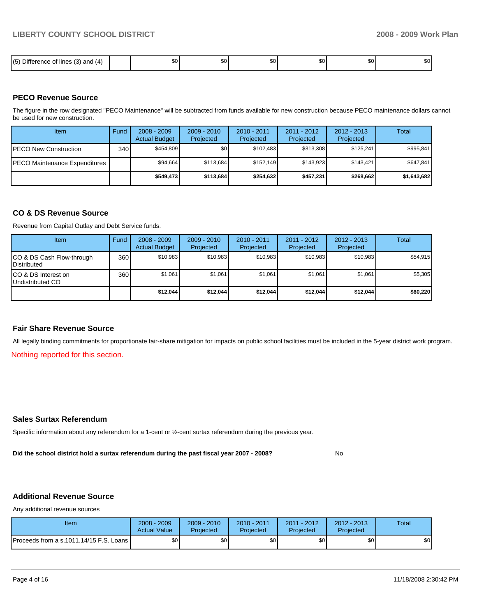| .<br>$- \cdot -$<br>15<br>$\overline{\phantom{a}}$<br>; (3) and<br>$\sim$<br><b>lines</b><br>14<br>Jitté<br>.<br>٠.<br>ີ | тn О<br>æи. | \$0 l | ጦጣ<br>w | ሶስ<br>JU. | ጦ<br>JU. | m c<br>w |
|--------------------------------------------------------------------------------------------------------------------------|-------------|-------|---------|-----------|----------|----------|

## **PECO Revenue Source**

The figure in the row designated "PECO Maintenance" will be subtracted from funds available for new construction because PECO maintenance dollars cannot be used for new construction.

| Item                                  | Fund | $2008 - 2009$<br><b>Actual Budget</b> | $2009 - 2010$<br>Projected | $2010 - 2011$<br>Projected | $2011 - 2012$<br>Projected | $2012 - 2013$<br>Projected | Total       |
|---------------------------------------|------|---------------------------------------|----------------------------|----------------------------|----------------------------|----------------------------|-------------|
| IPECO New Construction                | 340  | \$454.809                             | \$٥Ι                       | \$102.483                  | \$313.308                  | \$125.241                  | \$995,841   |
| <b>IPECO Maintenance Expenditures</b> |      | \$94.664                              | \$113,684                  | \$152.149                  | \$143.923                  | \$143.421                  | \$647,841   |
|                                       |      | \$549,473                             | \$113,684                  | \$254.632                  | \$457.231                  | \$268,662                  | \$1,643,682 |

## **CO & DS Revenue Source**

Revenue from Capital Outlay and Debt Service funds.

| Item                                               | Fund | $2008 - 2009$<br><b>Actual Budget</b> | $2009 - 2010$<br>Projected | $2010 - 2011$<br>Projected | 2011 - 2012<br>Projected | $2012 - 2013$<br>Projected | Total    |
|----------------------------------------------------|------|---------------------------------------|----------------------------|----------------------------|--------------------------|----------------------------|----------|
| ICO & DS Cash Flow-through<br><b>I</b> Distributed | 360  | \$10.983                              | \$10.983                   | \$10.983                   | \$10.983                 | \$10.983                   | \$54.915 |
| ICO & DS Interest on<br>Undistributed CO           | 360  | \$1.061                               | \$1,061                    | \$1,061                    | \$1,061                  | \$1,061                    | \$5,305  |
|                                                    |      | \$12,044                              | \$12,044                   | \$12.044                   | \$12,044                 | \$12.044                   | \$60,220 |

### **Fair Share Revenue Source**

All legally binding commitments for proportionate fair-share mitigation for impacts on public school facilities must be included in the 5-year district work program.

Nothing reported for this section.

## **Sales Surtax Referendum**

Specific information about any referendum for a 1-cent or ½-cent surtax referendum during the previous year.

**Did the school district hold a surtax referendum during the past fiscal year 2007 - 2008?** No

# **Additional Revenue Source**

Any additional revenue sources

| Item                                      | 2008 - 2009<br><b>Actual Value</b> | $2009 - 2010$<br>Projected | 2010 - 2011<br>Projected | 2011 - 2012<br>Projected | $2012 - 2013$<br>Projected | Total |
|-------------------------------------------|------------------------------------|----------------------------|--------------------------|--------------------------|----------------------------|-------|
| Proceeds from a s.1011.14/15 F.S. Loans I | ¢∩<br>υU                           | ¢Λ<br>υU                   | \$0                      | \$0                      | \$0                        | \$0   |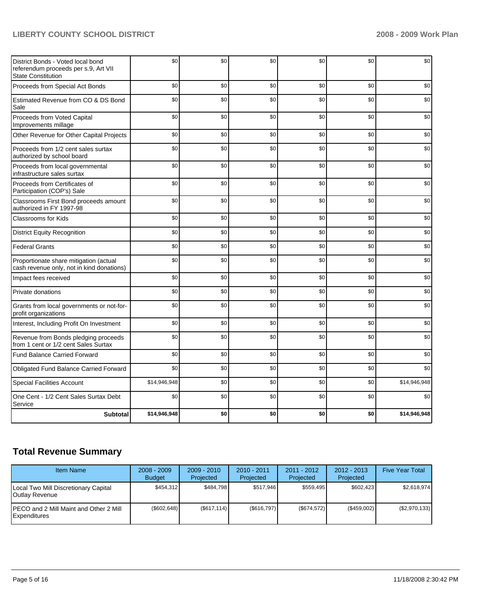# **LIBERTY COUNTY SCHOOL DISTRICT 2008 - 2009 Work Plan**

| District Bonds - Voted local bond<br>referendum proceeds per s.9, Art VII<br><b>State Constitution</b> | \$0          | \$0 | \$0 | \$0 | \$0 | \$0          |
|--------------------------------------------------------------------------------------------------------|--------------|-----|-----|-----|-----|--------------|
| Proceeds from Special Act Bonds                                                                        | \$0          | \$0 | \$0 | \$0 | \$0 | \$0          |
| Estimated Revenue from CO & DS Bond<br>Sale                                                            | \$0          | \$0 | \$0 | \$0 | \$0 | \$0          |
| Proceeds from Voted Capital<br>Improvements millage                                                    | \$0          | \$0 | \$0 | \$0 | \$0 | \$0          |
| Other Revenue for Other Capital Projects                                                               | \$0          | \$0 | \$0 | \$0 | \$0 | \$0          |
| Proceeds from 1/2 cent sales surtax<br>authorized by school board                                      | \$0          | \$0 | \$0 | \$0 | \$0 | \$0          |
| Proceeds from local governmental<br>infrastructure sales surtax                                        | \$0          | \$0 | \$0 | \$0 | \$0 | \$0          |
| Proceeds from Certificates of<br>Participation (COP's) Sale                                            | \$0          | \$0 | \$0 | \$0 | \$0 | \$0          |
| Classrooms First Bond proceeds amount<br>authorized in FY 1997-98                                      | \$0          | \$0 | \$0 | \$0 | \$0 | \$0          |
| Classrooms for Kids                                                                                    | \$0          | \$0 | \$0 | \$0 | \$0 | \$0          |
| <b>District Equity Recognition</b>                                                                     | \$0          | \$0 | \$0 | \$0 | \$0 | \$0          |
| <b>Federal Grants</b>                                                                                  | \$0          | \$0 | \$0 | \$0 | \$0 | \$0          |
| Proportionate share mitigation (actual<br>cash revenue only, not in kind donations)                    | \$0          | \$0 | \$0 | \$0 | \$0 | \$0          |
| Impact fees received                                                                                   | \$0          | \$0 | \$0 | \$0 | \$0 | \$0          |
| Private donations                                                                                      | \$0          | \$0 | \$0 | \$0 | \$0 | \$0          |
| Grants from local governments or not-for-<br>profit organizations                                      | \$0          | \$0 | \$0 | \$0 | \$0 | \$0          |
| Interest, Including Profit On Investment                                                               | \$0          | \$0 | \$0 | \$0 | \$0 | \$0          |
| Revenue from Bonds pledging proceeds<br>from 1 cent or 1/2 cent Sales Surtax                           | \$0          | \$0 | \$0 | \$0 | \$0 | \$0          |
| <b>Fund Balance Carried Forward</b>                                                                    | \$0          | \$0 | \$0 | \$0 | \$0 | \$0          |
| Obligated Fund Balance Carried Forward                                                                 | \$0          | \$0 | \$0 | \$0 | \$0 | \$0          |
| <b>Special Facilities Account</b>                                                                      | \$14,946,948 | \$0 | \$0 | \$0 | \$0 | \$14,946,948 |
| One Cent - 1/2 Cent Sales Surtax Debt<br>Service                                                       | \$0          | \$0 | \$0 | \$0 | \$0 | \$0          |
| <b>Subtotal</b>                                                                                        | \$14,946,948 | \$0 | \$0 | \$0 | \$0 | \$14,946,948 |

# **Total Revenue Summary**

| <b>Item Name</b>                                               | $2008 - 2009$<br><b>Budget</b> | $2009 - 2010$<br>Projected | $2010 - 2011$<br>Projected | $2011 - 2012$<br>Projected | $2012 - 2013$<br>Projected | <b>Five Year Total</b> |
|----------------------------------------------------------------|--------------------------------|----------------------------|----------------------------|----------------------------|----------------------------|------------------------|
| Local Two Mill Discretionary Capital<br>Outlay Revenue         | \$454.312                      | \$484,798                  | \$517.946                  | \$559.495                  | \$602,423                  | \$2,618,974            |
| <b>IPECO and 2 Mill Maint and Other 2 Mill</b><br>Expenditures | (\$602,648)                    | (\$617, 114)               | (S616.797)                 | (S674.572)                 | (S459.002)                 | (\$2,970,133)          |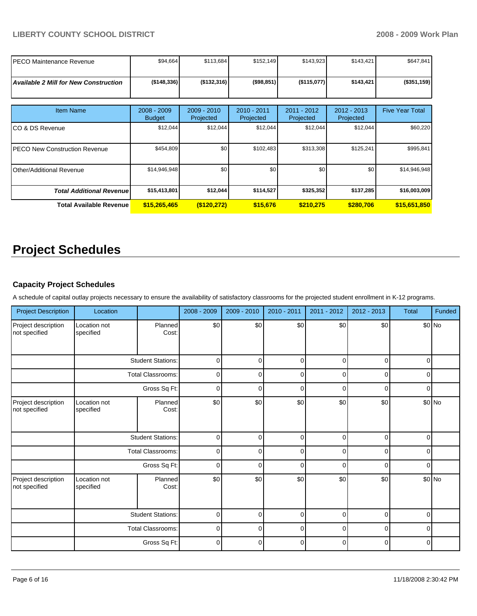| <b>PECO Maintenance Revenue</b>              | \$94,664                       | \$113,684                  | \$152,149                | \$143,923                | \$143,421                | \$647,841              |
|----------------------------------------------|--------------------------------|----------------------------|--------------------------|--------------------------|--------------------------|------------------------|
| <b>Available 2 Mill for New Construction</b> | (\$148,336)                    | (\$132,316)                | (\$98,851)               | (\$115,077)              | \$143,421                | (\$351,159)            |
| <b>Item Name</b>                             | $2008 - 2009$<br><b>Budget</b> | $2009 - 2010$<br>Projected | 2010 - 2011<br>Projected | 2011 - 2012<br>Projected | 2012 - 2013<br>Projected | <b>Five Year Total</b> |
| ICO & DS Revenue                             | \$12,044                       | \$12,044                   | \$12,044                 | \$12,044                 | \$12,044                 | \$60,220               |
| IPECO New Construction Revenue               | \$454,809                      | \$0                        | \$102,483                | \$313,308                | \$125,241                | \$995,841              |
| <b>Other/Additional Revenue</b>              | \$14,946,948                   | \$0                        | \$0                      | \$0                      | \$0                      | \$14,946,948           |
| <b>Total Additional Revenue</b>              | \$15,413,801                   | \$12,044                   | \$114,527                | \$325,352                | \$137,285                | \$16,003,009           |
| <b>Total Available Revenue</b>               | \$15,265,465                   | (S120, 272)                | \$15,676                 | \$210,275                | \$280.706                | \$15,651,850           |

# **Project Schedules**

# **Capacity Project Schedules**

A schedule of capital outlay projects necessary to ensure the availability of satisfactory classrooms for the projected student enrollment in K-12 programs.

| <b>Project Description</b>           | Location                  |                          | 2008 - 2009 | 2009 - 2010 | 2010 - 2011 | 2011 - 2012 | 2012 - 2013 | Total    | Funded |
|--------------------------------------|---------------------------|--------------------------|-------------|-------------|-------------|-------------|-------------|----------|--------|
| Project description<br>not specified | Location not<br>specified | Planned<br>Cost:         | \$0         | \$0         | \$0         | \$0         | \$0         |          | \$0 No |
|                                      |                           | <b>Student Stations:</b> | $\mathbf 0$ | $\Omega$    | $\mathbf 0$ | $\Omega$    | $\Omega$    | $\Omega$ |        |
|                                      |                           | <b>Total Classrooms:</b> | $\mathbf 0$ | $\mathbf 0$ | $\mathbf 0$ | 0           | $\Omega$    | $\Omega$ |        |
|                                      |                           | Gross Sq Ft:             | $\mathbf 0$ | $\Omega$    | $\mathbf 0$ | $\Omega$    | $\Omega$    | ∩        |        |
| Project description<br>not specified | Location not<br>specified | Planned<br>Cost:         | \$0         | \$0         | \$0         | \$0         | \$0         |          | \$0 No |
|                                      |                           | <b>Student Stations:</b> | $\mathbf 0$ | $\Omega$    | $\mathbf 0$ | $\Omega$    | $\Omega$    | $\Omega$ |        |
|                                      |                           | <b>Total Classrooms:</b> | $\mathbf 0$ | $\Omega$    | $\mathbf 0$ | $\Omega$    | $\Omega$    | $\Omega$ |        |
|                                      |                           | Gross Sq Ft:             | $\mathbf 0$ | $\Omega$    | $\mathbf 0$ | $\Omega$    | $\Omega$    | $\Omega$ |        |
| Project description<br>not specified | Location not<br>specified | Planned<br>Cost:         | \$0         | \$0         | \$0         | \$0         | \$0         |          | \$0 No |
|                                      |                           | <b>Student Stations:</b> | 0           | $\mathbf 0$ | $\mathbf 0$ | $\mathbf 0$ | $\Omega$    | 0        |        |
|                                      |                           | Total Classrooms:        |             | $\mathbf 0$ | $\mathbf 0$ | $\mathbf 0$ | $\Omega$    | 0        |        |
|                                      |                           | Gross Sq Ft:             | $\mathbf 0$ | $\mathbf 0$ | $\mathbf 0$ | 0           | $\mathbf 0$ | $\Omega$ |        |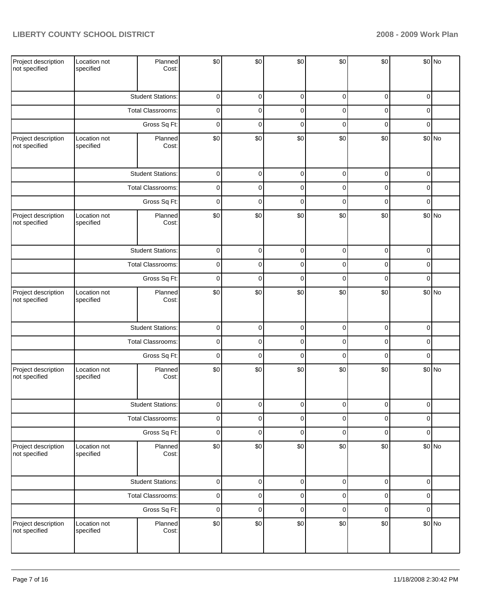| Project description<br>not specified | Location not<br>specified | Planned<br>Cost:         | \$0         | \$0         | \$0         | \$0         | \$0         |             | \$0 No |
|--------------------------------------|---------------------------|--------------------------|-------------|-------------|-------------|-------------|-------------|-------------|--------|
|                                      |                           | <b>Student Stations:</b> | 0           | 0           | $\mathbf 0$ | 0           | 0           | 0           |        |
|                                      |                           | Total Classrooms:        | 0           | 0           | $\mathbf 0$ | 0           | 0           | 0           |        |
|                                      |                           | Gross Sq Ft:             | 0           | 0           | $\mathbf 0$ | 0           | 0           | 0           |        |
| Project description<br>not specified | Location not<br>specified | Planned<br>Cost:         | \$0         | \$0         | \$0         | \$0         | \$0         |             | \$0 No |
|                                      |                           | <b>Student Stations:</b> | $\pmb{0}$   | $\mathbf 0$ | 0           | $\mathbf 0$ | $\mathbf 0$ | $\mathbf 0$ |        |
|                                      |                           | Total Classrooms:        | $\pmb{0}$   | $\pmb{0}$   | $\mathbf 0$ | 0           | 0           | 0           |        |
|                                      |                           | Gross Sq Ft:             | $\mathbf 0$ | $\mathbf 0$ | $\mathbf 0$ | 0           | 0           | $\mathbf 0$ |        |
| Project description<br>not specified | Location not<br>specified | Planned<br>Cost:         | \$0         | \$0         | \$0         | \$0         | \$0         |             | \$0 No |
|                                      |                           | <b>Student Stations:</b> | 0           | 0           | $\mathbf 0$ | 0           | 0           | 0           |        |
|                                      |                           | Total Classrooms:        | 0           | 0           | $\mathbf 0$ | 0           | 0           | 0           |        |
|                                      |                           | Gross Sq Ft:             | 0           | 0           | $\mathbf 0$ | 0           | 0           | $\mathbf 0$ |        |
| Project description<br>not specified | Location not<br>specified | Planned<br>Cost:         | \$0         | \$0         | \$0         | \$0         | \$0         |             | \$0 No |
|                                      |                           | <b>Student Stations:</b> | $\pmb{0}$   | $\pmb{0}$   | $\pmb{0}$   | 0           | $\mathbf 0$ | 0           |        |
|                                      |                           | Total Classrooms:        | 0           | $\mathbf 0$ | 0           | 0           | 0           | $\mathbf 0$ |        |
|                                      |                           | Gross Sq Ft:             | $\mathbf 0$ | $\mathbf 0$ | $\mathbf 0$ | 0           | 0           | $\mathbf 0$ |        |
| Project description<br>not specified | Location not<br>specified | Planned<br>Cost:         | \$0         | \$0         | \$0         | \$0         | \$0         |             | \$0 No |
|                                      |                           | <b>Student Stations:</b> | $\Omega$    | $\Omega$    | $\Omega$    | $\Omega$    | $\Omega$    | $\Omega$    |        |
|                                      |                           | Total Classrooms:        | 0           | 0           | 0           | 0           | 0           | 0           |        |
|                                      |                           | Gross Sq Ft:             | $\pmb{0}$   | $\pmb{0}$   | $\pmb{0}$   | 0           | 0           | 0           |        |
| Project description<br>not specified | Location not<br>specified | Planned<br>Cost:         | \$0         | \$0         | \$0         | \$0         | \$0         |             | \$0 No |
|                                      |                           | <b>Student Stations:</b> | $\pmb{0}$   | $\pmb{0}$   | $\pmb{0}$   | 0           | $\pmb{0}$   | $\mathbf 0$ |        |
|                                      |                           | Total Classrooms:        | $\pmb{0}$   | $\pmb{0}$   | $\pmb{0}$   | 0           | $\mathbf 0$ | 0           |        |
|                                      |                           | Gross Sq Ft:             | $\pmb{0}$   | $\pmb{0}$   | $\mathbf 0$ | 0           | 0           | 0           |        |
| Project description<br>not specified | Location not<br>specified | Planned<br>Cost:         | \$0         | \$0         | \$0         | \$0         | \$0         |             | \$0 No |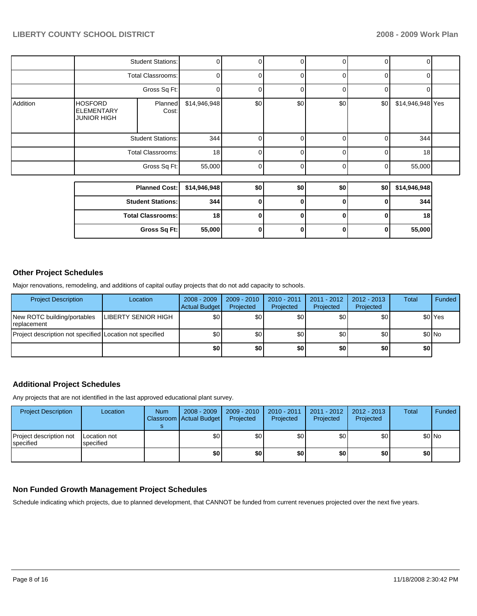| Gross Sq Ft:                                                                  |              |                                                      |                          |          |                |             |                                 |  |
|-------------------------------------------------------------------------------|--------------|------------------------------------------------------|--------------------------|----------|----------------|-------------|---------------------------------|--|
|                                                                               |              | 18                                                   | 0                        | $\bf{0}$ |                | $\mathbf 0$ | 18                              |  |
|                                                                               |              | 344                                                  | 0                        | 0        |                | 0           | 344                             |  |
| <b>Planned Cost:</b>                                                          |              | \$14,946,948                                         | \$0                      | \$0      |                | \$0         | \$14,946,948                    |  |
|                                                                               |              |                                                      |                          |          |                |             |                                 |  |
|                                                                               | Gross Sq Ft: | 55,000                                               | ∩                        | $\Omega$ |                | 0           | 55,000                          |  |
| <b>Total Classrooms:</b>                                                      |              | 18                                                   |                          | $\Omega$ | Οl             | $\Omega$    | 18                              |  |
| <b>Student Stations:</b>                                                      |              | 344                                                  |                          | $\Omega$ | 01             | 0           | 344                             |  |
| <b>HOSFORD</b><br>Planned<br><b>ELEMENTARY</b><br>Cost:<br><b>JUNIOR HIGH</b> |              | \$14,946,948                                         | \$0                      | \$0      | \$0            | \$0         | \$14,946,948 Yes                |  |
|                                                                               | Gross Sq Ft: | 0                                                    |                          | $\Omega$ | ٥I             | 0           | 0                               |  |
| <b>Total Classrooms:</b>                                                      |              | 0                                                    |                          | $\Omega$ | $\overline{0}$ | 0           | 0                               |  |
|                                                                               |              | 0                                                    |                          | $\Omega$ | $\overline{0}$ | 0           | 0                               |  |
|                                                                               |              | <b>Student Stations:</b><br><b>Student Stations:</b> | <b>Total Classrooms:</b> |          |                |             | $\overline{0}$<br>\$0<br>0<br>0 |  |

# **Other Project Schedules**

Major renovations, remodeling, and additions of capital outlay projects that do not add capacity to schools.

| <b>Project Description</b>                               | Location                   | $2008 - 2009$<br>Actual Budget | $2009 - 2010$<br>Projected | 2010 - 2011<br>Projected | $2011 - 2012$<br>Projected | $2012 - 2013$<br>Projected | Total | Funded             |
|----------------------------------------------------------|----------------------------|--------------------------------|----------------------------|--------------------------|----------------------------|----------------------------|-------|--------------------|
| New ROTC building/portables<br><b>I</b> replacement      | <b>LIBERTY SENIOR HIGH</b> | \$0                            | \$0                        | \$0                      | \$0                        | \$0                        |       | \$0 <sup>Yes</sup> |
| Project description not specified Location not specified |                            | \$0                            | \$0                        | \$0                      | \$0 <sub>1</sub>           | \$0                        |       | $$0$ No            |
|                                                          |                            | \$0                            | \$0                        | \$0                      | \$0                        | \$0                        | \$0   |                    |

# **Additional Project Schedules**

Any projects that are not identified in the last approved educational plant survey.

| <b>Project Description</b>           | Location                  | <b>Num</b> | 2008 - 2009<br>Classroom   Actual Budget | 2009 - 2010<br>Projected | $2010 - 2011$<br>Projected | 2011 - 2012<br>Projected | 2012 - 2013<br>Projected | <b>Total</b>     | Funded |
|--------------------------------------|---------------------------|------------|------------------------------------------|--------------------------|----------------------------|--------------------------|--------------------------|------------------|--------|
| Project description not<br>specified | Location not<br>specified |            | \$0                                      | \$0                      | \$0                        | \$0                      | \$0                      |                  | \$0 No |
|                                      |                           |            | \$0                                      | \$0                      | \$0                        | \$0                      | \$0                      | \$0 <sub>1</sub> |        |

## **Non Funded Growth Management Project Schedules**

Schedule indicating which projects, due to planned development, that CANNOT be funded from current revenues projected over the next five years.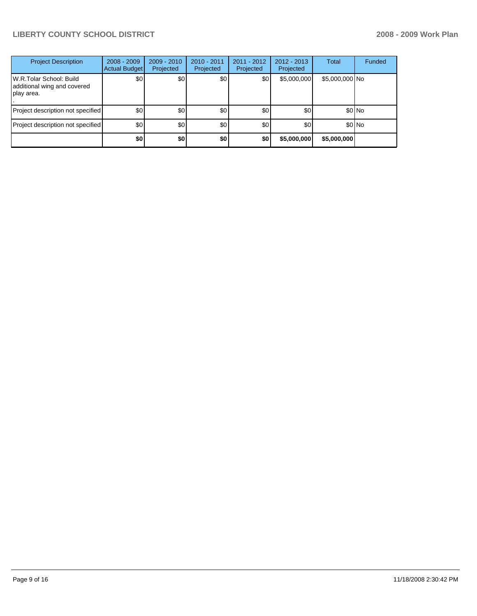# **LIBERTY COUNTY SCHOOL DISTRICT 2008 - 2009 Work Plan**

| <b>Project Description</b>                                            | $2008 - 2009$<br>Actual Budget | $2009 - 2010$<br>Projected | $2010 - 2011$<br>Projected | $2011 - 2012$<br>Projected | $2012 - 2013$<br>Projected | Total          | <b>Funded</b> |
|-----------------------------------------------------------------------|--------------------------------|----------------------------|----------------------------|----------------------------|----------------------------|----------------|---------------|
| W.R.Tolar School: Build<br>additional wing and covered<br> play area. | \$0                            | \$0                        | \$0                        | \$0                        | \$5,000,000                | \$5,000,000 No |               |
| Project description not specified                                     | \$0                            | \$0                        | \$0                        | \$0                        | \$0                        |                | $$0$ No       |
| Project description not specified                                     | \$0                            | \$0                        | \$0                        | \$0                        | \$0                        |                | $$0$ No       |
|                                                                       | \$0                            | \$0                        | \$0                        | \$0                        | \$5,000,000                | \$5,000,000    |               |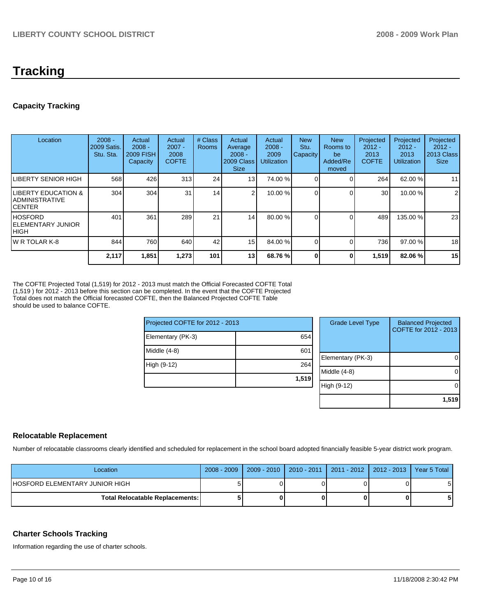# **Tracking**

# **Capacity Tracking**

| Location                                                      | $2008 -$<br>2009 Satis.<br>Stu. Sta. | Actual<br>$2008 -$<br><b>2009 FISH</b><br>Capacity | Actual<br>$2007 -$<br>2008<br><b>COFTE</b> | # Class<br><b>Rooms</b> | Actual<br>Average<br>$2008 -$<br>2009 Class<br><b>Size</b> | Actual<br>$2008 -$<br>2009<br><b>Utilization</b> | <b>New</b><br>Stu.<br>Capacity | <b>New</b><br>Rooms to<br>be<br>Added/Re<br>moved | Projected<br>$2012 -$<br>2013<br><b>COFTE</b> | Projected<br>$2012 -$<br>2013<br><b>Utilization</b> | Projected<br>$2012 -$<br>2013 Class<br><b>Size</b> |
|---------------------------------------------------------------|--------------------------------------|----------------------------------------------------|--------------------------------------------|-------------------------|------------------------------------------------------------|--------------------------------------------------|--------------------------------|---------------------------------------------------|-----------------------------------------------|-----------------------------------------------------|----------------------------------------------------|
| ILIBERTY SENIOR HIGH                                          | 568                                  | 426                                                | 313                                        | 24                      | 13                                                         | 74.00 %                                          |                                |                                                   | 264                                           | 62.00 %                                             | 11                                                 |
| <b>ILIBERTY EDUCATION &amp;</b><br>IADMINISTRATIVE<br>ICENTER | 304                                  | 304                                                | 31                                         | 14                      | $\sim$                                                     | 10.00 %                                          |                                |                                                   | 30 <sup>1</sup>                               | 10.00 %                                             | $\overline{2}$                                     |
| IHOSFORD<br>IELEMENTARY JUNIOR<br>Ініgн                       | 401                                  | 361                                                | 289                                        | 21                      | 14                                                         | 80.00 %                                          |                                |                                                   | 489                                           | 135.00 %                                            | 23                                                 |
| IW R TOLAR K-8                                                | 844                                  | 760                                                | 640                                        | 42                      | 15 <sup>1</sup>                                            | 84.00 %                                          |                                |                                                   | 736                                           | 97.00 %                                             | 18                                                 |
|                                                               | 2,117                                | 1,851                                              | 1,273                                      | 101                     | 13                                                         | 68.76 %                                          |                                | 0                                                 | 1,519                                         | 82.06 %                                             | 15                                                 |

The COFTE Projected Total (1,519) for 2012 - 2013 must match the Official Forecasted COFTE Total (1,519 ) for 2012 - 2013 before this section can be completed. In the event that the COFTE Projected Total does not match the Official forecasted COFTE, then the Balanced Projected COFTE Table should be used to balance COFTE.

| Projected COFTE for 2012 - 2013 |       | <b>Grade Level Type</b> | <b>Balanced Projected</b><br>COFTE for 2012 - 2013 |
|---------------------------------|-------|-------------------------|----------------------------------------------------|
| Elementary (PK-3)               | 654   |                         |                                                    |
| Middle (4-8)                    | 601   |                         |                                                    |
|                                 |       | Elementary (PK-3)       | $\overline{0}$                                     |
| High (9-12)                     | 264   |                         |                                                    |
|                                 |       | Middle (4-8)            | $\overline{0}$                                     |
|                                 | 1,519 |                         |                                                    |
|                                 |       | High (9-12)             | $\overline{0}$                                     |
|                                 |       |                         |                                                    |
|                                 |       |                         | 1.519                                              |

# **Relocatable Replacement**

Number of relocatable classrooms clearly identified and scheduled for replacement in the school board adopted financially feasible 5-year district work program.

| Location                               | $2008 - 2009$ | $2009 - 2010$ | 2010 - 2011   2011 - 2012   2012 - 2013   Year 5 Total |  |
|----------------------------------------|---------------|---------------|--------------------------------------------------------|--|
| IHOSFORD ELEMENTARY JUNIOR HIGH        |               |               |                                                        |  |
| <b>Total Relocatable Replacements:</b> |               |               |                                                        |  |

# **Charter Schools Tracking**

Information regarding the use of charter schools.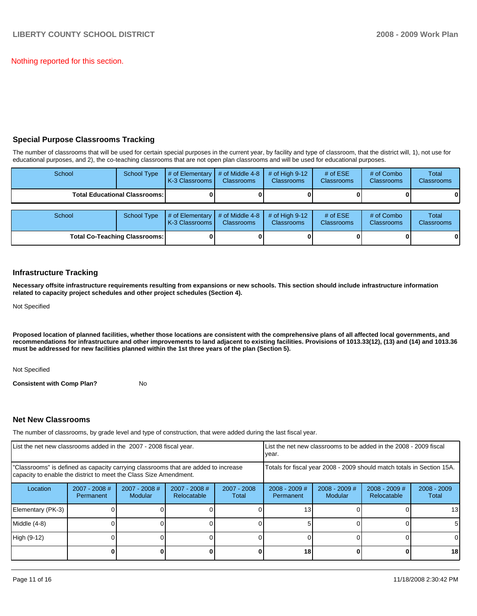Nothing reported for this section.

# **Special Purpose Classrooms Tracking**

The number of classrooms that will be used for certain special purposes in the current year, by facility and type of classroom, that the district will, 1), not use for educational purposes, and 2), the co-teaching classrooms that are not open plan classrooms and will be used for educational purposes.

| School                               | <b>School Type</b> | # of Elementary<br>K-3 Classrooms | # of Middle 4-8<br><b>Classrooms</b> | $#$ of High 9-12<br><b>Classrooms</b> | # of $ESE$<br><b>Classrooms</b> | # of Combo<br><b>Classrooms</b> | <b>Total</b><br><b>Classrooms</b> |
|--------------------------------------|--------------------|-----------------------------------|--------------------------------------|---------------------------------------|---------------------------------|---------------------------------|-----------------------------------|
| <b>Total Educational Classrooms:</b> |                    |                                   |                                      |                                       |                                 |                                 | 01                                |
|                                      |                    |                                   |                                      |                                       |                                 |                                 |                                   |
| School                               | <b>School Type</b> | # of Elementary<br>K-3 Classrooms | # of Middle 4-8<br><b>Classrooms</b> | $#$ of High 9-12<br><b>Classrooms</b> | # of $ESE$<br>Classrooms        | # of Combo<br><b>Classrooms</b> | Total<br><b>Classrooms</b>        |
| <b>Total Co-Teaching Classrooms:</b> |                    |                                   |                                      |                                       |                                 |                                 | 01                                |

## **Infrastructure Tracking**

**Necessary offsite infrastructure requirements resulting from expansions or new schools. This section should include infrastructure information related to capacity project schedules and other project schedules (Section 4).** 

Not Specified

**Proposed location of planned facilities, whether those locations are consistent with the comprehensive plans of all affected local governments, and recommendations for infrastructure and other improvements to land adjacent to existing facilities. Provisions of 1013.33(12), (13) and (14) and 1013.36 must be addressed for new facilities planned within the 1st three years of the plan (Section 5).** 

Not Specified

**Consistent with Comp Plan?** No

# **Net New Classrooms**

The number of classrooms, by grade level and type of construction, that were added during the last fiscal year.

| List the net new classrooms added in the 2007 - 2008 fiscal year.                                                                                       |                                     |                                 |                                |                                                                        | List the net new classrooms to be added in the 2008 - 2009 fiscal<br>year. |                            |                                |                        |
|---------------------------------------------------------------------------------------------------------------------------------------------------------|-------------------------------------|---------------------------------|--------------------------------|------------------------------------------------------------------------|----------------------------------------------------------------------------|----------------------------|--------------------------------|------------------------|
| "Classrooms" is defined as capacity carrying classrooms that are added to increase<br>capacity to enable the district to meet the Class Size Amendment. |                                     |                                 |                                | Totals for fiscal year 2008 - 2009 should match totals in Section 15A. |                                                                            |                            |                                |                        |
| Location                                                                                                                                                | $2007 - 2008$ #<br><b>Permanent</b> | 2007 - 2008 #<br><b>Modular</b> | $2007 - 2008$ #<br>Relocatable | 2007 - 2008<br>Total                                                   | $2008 - 2009$ #<br>Permanent                                               | $2008 - 2009$ #<br>Modular | $2008 - 2009$ #<br>Relocatable | $2008 - 2009$<br>Total |
| Elementary (PK-3)                                                                                                                                       |                                     |                                 |                                |                                                                        | 13                                                                         |                            |                                | 13 <sup>l</sup>        |
| Middle (4-8)                                                                                                                                            |                                     |                                 |                                |                                                                        |                                                                            |                            |                                | 51                     |
| High (9-12)                                                                                                                                             |                                     |                                 |                                |                                                                        |                                                                            |                            |                                | $\Omega$               |
|                                                                                                                                                         |                                     |                                 |                                |                                                                        | 18                                                                         |                            |                                | 18 <sup>l</sup>        |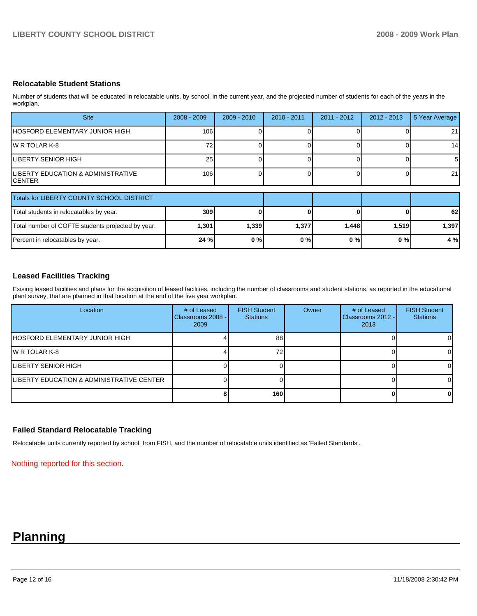## **Relocatable Student Stations**

Number of students that will be educated in relocatable units, by school, in the current year, and the projected number of students for each of the years in the workplan.

| <b>Site</b>                                   | $2008 - 2009$ | $2009 - 2010$ | $2010 - 2011$ | 2011 - 2012 | 2012 - 2013 | 5 Year Average |
|-----------------------------------------------|---------------|---------------|---------------|-------------|-------------|----------------|
| IHOSFORD ELEMENTARY JUNIOR HIGH               | 106           |               |               |             |             | 21             |
| IW R TOLAR K-8                                |               |               |               |             |             | 14             |
| ILIBERTY SENIOR HIGH                          | 25            |               |               |             |             | -5             |
| LIBERTY EDUCATION & ADMINISTRATIVE<br>ICENTER | 106           |               |               |             |             | 21             |

| Totals for LIBERTY COUNTY SCHOOL DISTRICT         |       |       |       |       |       |       |
|---------------------------------------------------|-------|-------|-------|-------|-------|-------|
| Total students in relocatables by year.           | 309   |       |       |       |       | 62    |
| Total number of COFTE students projected by year. | 1,301 | 1,339 | 1,377 | 1.448 | 1.519 | 1,397 |
| Percent in relocatables by year.                  | 24%   | 0%    | 0%    | 0 % I | $0\%$ | 4 %   |

# **Leased Facilities Tracking**

Exising leased facilities and plans for the acquisition of leased facilities, including the number of classrooms and student stations, as reported in the educational plant survey, that are planned in that location at the end of the five year workplan.

| Location                                  | # of Leased<br>Classrooms 2008 - I<br>2009 | <b>FISH Student</b><br><b>Stations</b> | Owner | # of Leased<br>Classrooms 2012 -<br>2013 | <b>FISH Student</b><br><b>Stations</b> |
|-------------------------------------------|--------------------------------------------|----------------------------------------|-------|------------------------------------------|----------------------------------------|
| HOSFORD ELEMENTARY JUNIOR HIGH            |                                            | 88                                     |       |                                          | ΟI                                     |
| IW R TOLAR K-8                            |                                            | 72                                     |       |                                          | $\Omega$                               |
| ILIBERTY SENIOR HIGH                      |                                            |                                        |       |                                          | $\Omega$                               |
| LIBERTY EDUCATION & ADMINISTRATIVE CENTER |                                            |                                        |       |                                          | $\Omega$                               |
|                                           |                                            | 160                                    |       |                                          | 01                                     |

# **Failed Standard Relocatable Tracking**

Relocatable units currently reported by school, from FISH, and the number of relocatable units identified as 'Failed Standards'.

Nothing reported for this section.

# **Planning**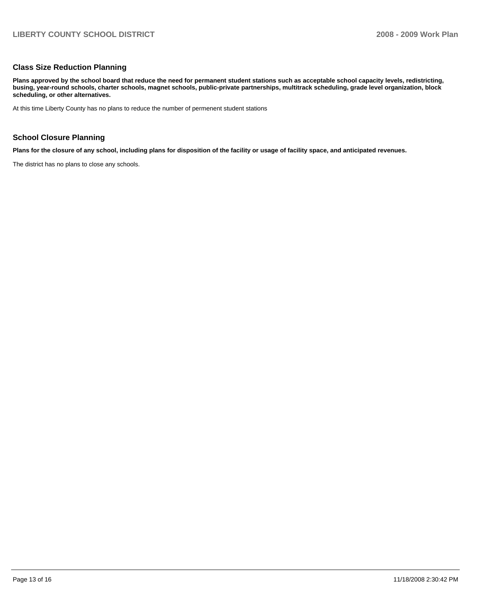## **Class Size Reduction Planning**

**Plans approved by the school board that reduce the need for permanent student stations such as acceptable school capacity levels, redistricting, busing, year-round schools, charter schools, magnet schools, public-private partnerships, multitrack scheduling, grade level organization, block scheduling, or other alternatives.** 

At this time Liberty County has no plans to reduce the number of permenent student stations

## **School Closure Planning**

**Plans for the closure of any school, including plans for disposition of the facility or usage of facility space, and anticipated revenues.** 

The district has no plans to close any schools.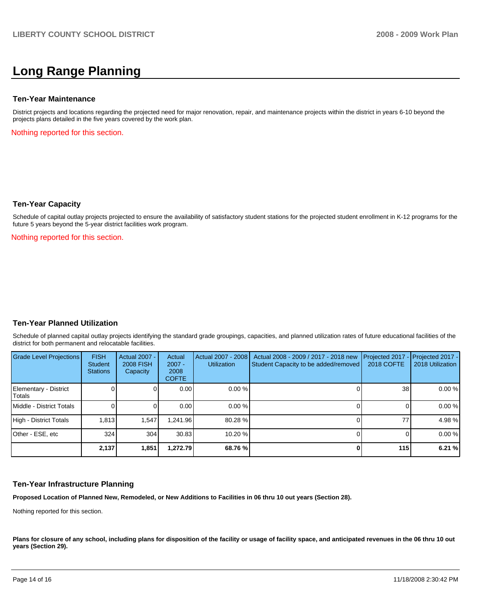# **Long Range Planning**

### **Ten-Year Maintenance**

District projects and locations regarding the projected need for major renovation, repair, and maintenance projects within the district in years 6-10 beyond the projects plans detailed in the five years covered by the work plan.

Nothing reported for this section.

## **Ten-Year Capacity**

Schedule of capital outlay projects projected to ensure the availability of satisfactory student stations for the projected student enrollment in K-12 programs for the future 5 years beyond the 5-year district facilities work program.

Nothing reported for this section.

## **Ten-Year Planned Utilization**

Schedule of planned capital outlay projects identifying the standard grade groupings, capacities, and planned utilization rates of future educational facilities of the district for both permanent and relocatable facilities.

| Grade Level Projections         | <b>FISH</b><br>Student<br><b>Stations</b> | Actual 2007 -<br><b>2008 FISH</b><br>Capacity | Actual<br>$2007 -$<br>2008<br><b>COFTE</b> | Actual 2007 - 2008<br><b>Utilization</b> | Actual 2008 - 2009 / 2017 - 2018 new<br>Student Capacity to be added/removed | 2018 COFTE      | Projected 2017 - Projected 2017 -<br>2018 Utilization |
|---------------------------------|-------------------------------------------|-----------------------------------------------|--------------------------------------------|------------------------------------------|------------------------------------------------------------------------------|-----------------|-------------------------------------------------------|
| Elementary - District<br>Totals |                                           |                                               | 0.00                                       | $0.00 \%$                                |                                                                              | 38 <sub>l</sub> | 0.00%                                                 |
| Middle - District Totals        |                                           |                                               | 0.00                                       | $0.00 \%$                                |                                                                              |                 | 0.00%                                                 |
| High - District Totals          | 1.813                                     | 1.547                                         | .241.96                                    | 80.28 %                                  |                                                                              | 77              | 4.98%                                                 |
| Other - ESE, etc                | 324                                       | 304                                           | 30.83                                      | 10.20 %                                  |                                                                              |                 | 0.00%                                                 |
|                                 | 2.137                                     | 1,851                                         | 1.272.79                                   | 68.76 %                                  |                                                                              | 115             | 6.21%                                                 |

## **Ten-Year Infrastructure Planning**

**Proposed Location of Planned New, Remodeled, or New Additions to Facilities in 06 thru 10 out years (Section 28).** 

Nothing reported for this section.

Plans for closure of any school, including plans for disposition of the facility or usage of facility space, and anticipated revenues in the 06 thru 10 out **years (Section 29).**